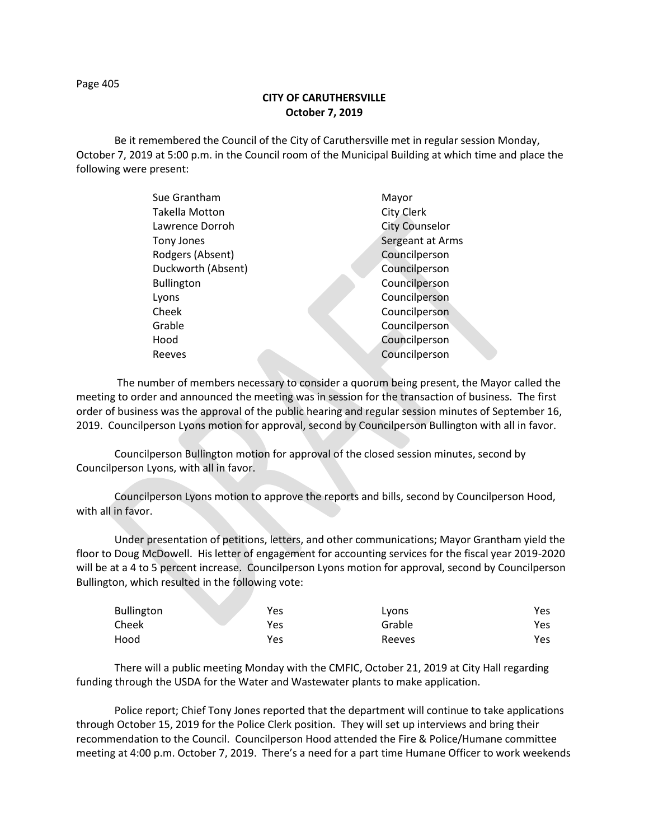Page 405

## **CITY OF CARUTHERSVILLE October 7, 2019**

Be it remembered the Council of the City of Caruthersville met in regular session Monday, October 7, 2019 at 5:00 p.m. in the Council room of the Municipal Building at which time and place the following were present:

| Sue Grantham          |  | Mayor                 |
|-----------------------|--|-----------------------|
| <b>Takella Motton</b> |  | City Clerk            |
| Lawrence Dorroh       |  | <b>City Counselor</b> |
| Tony Jones            |  | Sergeant at Arms      |
| Rodgers (Absent)      |  | Councilperson         |
| Duckworth (Absent)    |  | Councilperson         |
| <b>Bullington</b>     |  | Councilperson         |
| Lyons                 |  | Councilperson         |
| Cheek                 |  | Councilperson         |
| Grable                |  | Councilperson         |
| Hood                  |  | Councilperson         |
| Reeves                |  | Councilperson         |
|                       |  |                       |

 The number of members necessary to consider a quorum being present, the Mayor called the meeting to order and announced the meeting was in session for the transaction of business. The first order of business was the approval of the public hearing and regular session minutes of September 16, 2019. Councilperson Lyons motion for approval, second by Councilperson Bullington with all in favor.

Councilperson Bullington motion for approval of the closed session minutes, second by Councilperson Lyons, with all in favor.

Councilperson Lyons motion to approve the reports and bills, second by Councilperson Hood, with all in favor.

Under presentation of petitions, letters, and other communications; Mayor Grantham yield the floor to Doug McDowell. His letter of engagement for accounting services for the fiscal year 2019-2020 will be at a 4 to 5 percent increase. Councilperson Lyons motion for approval, second by Councilperson Bullington, which resulted in the following vote:

| Bullington | Yes | Lyons  | Yes |
|------------|-----|--------|-----|
| Cheek      | Yes | Grable | Yes |
| Hood       | Yes | Reeves | Yes |

There will a public meeting Monday with the CMFIC, October 21, 2019 at City Hall regarding funding through the USDA for the Water and Wastewater plants to make application.

Police report; Chief Tony Jones reported that the department will continue to take applications through October 15, 2019 for the Police Clerk position. They will set up interviews and bring their recommendation to the Council. Councilperson Hood attended the Fire & Police/Humane committee meeting at 4:00 p.m. October 7, 2019. There's a need for a part time Humane Officer to work weekends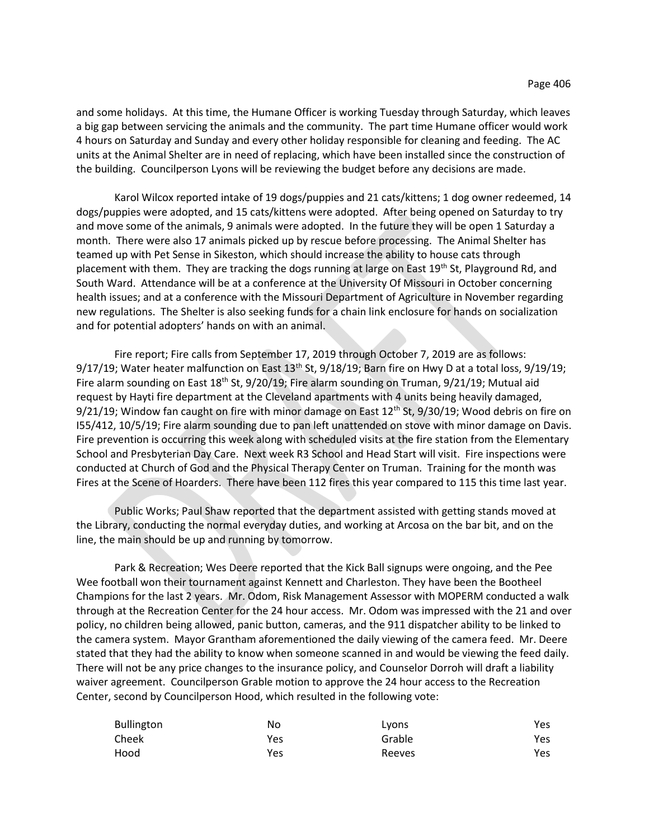and some holidays. At this time, the Humane Officer is working Tuesday through Saturday, which leaves a big gap between servicing the animals and the community. The part time Humane officer would work 4 hours on Saturday and Sunday and every other holiday responsible for cleaning and feeding. The AC units at the Animal Shelter are in need of replacing, which have been installed since the construction of the building. Councilperson Lyons will be reviewing the budget before any decisions are made.

Karol Wilcox reported intake of 19 dogs/puppies and 21 cats/kittens; 1 dog owner redeemed, 14 dogs/puppies were adopted, and 15 cats/kittens were adopted. After being opened on Saturday to try and move some of the animals, 9 animals were adopted. In the future they will be open 1 Saturday a month. There were also 17 animals picked up by rescue before processing. The Animal Shelter has teamed up with Pet Sense in Sikeston, which should increase the ability to house cats through placement with them. They are tracking the dogs running at large on East 19<sup>th</sup> St, Playground Rd, and South Ward. Attendance will be at a conference at the University Of Missouri in October concerning health issues; and at a conference with the Missouri Department of Agriculture in November regarding new regulations. The Shelter is also seeking funds for a chain link enclosure for hands on socialization and for potential adopters' hands on with an animal.

Fire report; Fire calls from September 17, 2019 through October 7, 2019 are as follows:  $9/17/19$ ; Water heater malfunction on East 13<sup>th</sup> St,  $9/18/19$ ; Barn fire on Hwy D at a total loss,  $9/19/19$ ; Fire alarm sounding on East  $18<sup>th</sup>$  St, 9/20/19; Fire alarm sounding on Truman, 9/21/19; Mutual aid request by Hayti fire department at the Cleveland apartments with 4 units being heavily damaged,  $9/21/19$ ; Window fan caught on fire with minor damage on East  $12<sup>th</sup>$  St,  $9/30/19$ ; Wood debris on fire on I55/412, 10/5/19; Fire alarm sounding due to pan left unattended on stove with minor damage on Davis. Fire prevention is occurring this week along with scheduled visits at the fire station from the Elementary School and Presbyterian Day Care. Next week R3 School and Head Start will visit. Fire inspections were conducted at Church of God and the Physical Therapy Center on Truman. Training for the month was Fires at the Scene of Hoarders. There have been 112 fires this year compared to 115 this time last year.

Public Works; Paul Shaw reported that the department assisted with getting stands moved at the Library, conducting the normal everyday duties, and working at Arcosa on the bar bit, and on the line, the main should be up and running by tomorrow.

Park & Recreation; Wes Deere reported that the Kick Ball signups were ongoing, and the Pee Wee football won their tournament against Kennett and Charleston. They have been the Bootheel Champions for the last 2 years. Mr. Odom, Risk Management Assessor with MOPERM conducted a walk through at the Recreation Center for the 24 hour access. Mr. Odom was impressed with the 21 and over policy, no children being allowed, panic button, cameras, and the 911 dispatcher ability to be linked to the camera system. Mayor Grantham aforementioned the daily viewing of the camera feed. Mr. Deere stated that they had the ability to know when someone scanned in and would be viewing the feed daily. There will not be any price changes to the insurance policy, and Counselor Dorroh will draft a liability waiver agreement. Councilperson Grable motion to approve the 24 hour access to the Recreation Center, second by Councilperson Hood, which resulted in the following vote:

| Bullington | No  | Lyons  | Yes |
|------------|-----|--------|-----|
| Cheek      | Yes | Grable | Yes |
| Hood       | Yes | Reeves | Yes |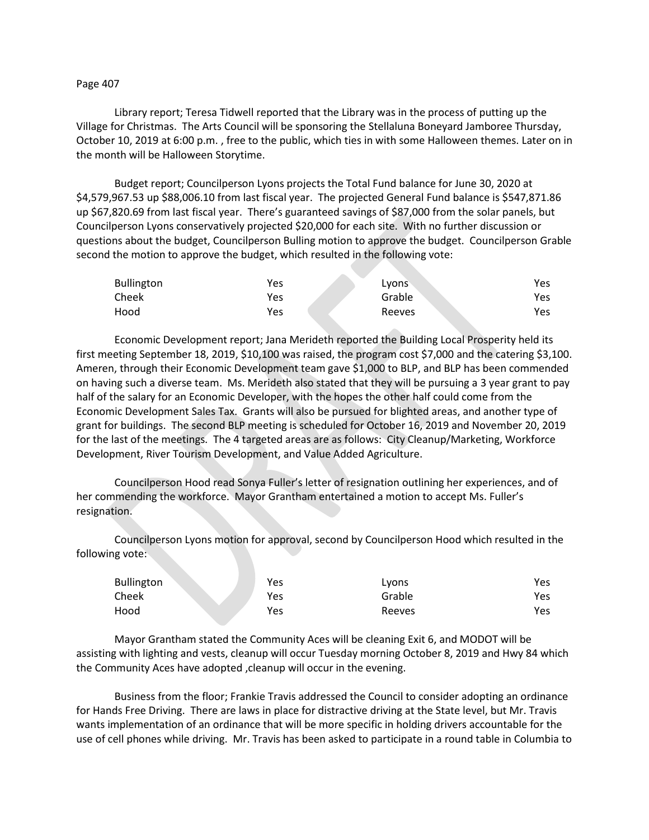## Page 407

Library report; Teresa Tidwell reported that the Library was in the process of putting up the Village for Christmas. The Arts Council will be sponsoring the Stellaluna Boneyard Jamboree Thursday, October 10, 2019 at 6:00 p.m. , free to the public, which ties in with some Halloween themes. Later on in the month will be Halloween Storytime.

Budget report; Councilperson Lyons projects the Total Fund balance for June 30, 2020 at \$4,579,967.53 up \$88,006.10 from last fiscal year. The projected General Fund balance is \$547,871.86 up \$67,820.69 from last fiscal year. There's guaranteed savings of \$87,000 from the solar panels, but Councilperson Lyons conservatively projected \$20,000 for each site. With no further discussion or questions about the budget, Councilperson Bulling motion to approve the budget. Councilperson Grable second the motion to approve the budget, which resulted in the following vote:

| <b>Bullington</b> | Yes | LVONS  | Yes |
|-------------------|-----|--------|-----|
| Cheek             | Yes | Grable | Yes |
| Hood              | Yes | Reeves | Yes |

Economic Development report; Jana Merideth reported the Building Local Prosperity held its first meeting September 18, 2019, \$10,100 was raised, the program cost \$7,000 and the catering \$3,100. Ameren, through their Economic Development team gave \$1,000 to BLP, and BLP has been commended on having such a diverse team. Ms. Merideth also stated that they will be pursuing a 3 year grant to pay half of the salary for an Economic Developer, with the hopes the other half could come from the Economic Development Sales Tax. Grants will also be pursued for blighted areas, and another type of grant for buildings. The second BLP meeting is scheduled for October 16, 2019 and November 20, 2019 for the last of the meetings. The 4 targeted areas are as follows: City Cleanup/Marketing, Workforce Development, River Tourism Development, and Value Added Agriculture.

Councilperson Hood read Sonya Fuller's letter of resignation outlining her experiences, and of her commending the workforce. Mayor Grantham entertained a motion to accept Ms. Fuller's resignation.

Councilperson Lyons motion for approval, second by Councilperson Hood which resulted in the following vote:

| <b>Bullington</b> | Yes        | Lyons  | Yes |
|-------------------|------------|--------|-----|
| Cheek             | Yes        | Grable | Yes |
| Hood              | <b>Yes</b> | Reeves | Yes |

Mayor Grantham stated the Community Aces will be cleaning Exit 6, and MODOT will be assisting with lighting and vests, cleanup will occur Tuesday morning October 8, 2019 and Hwy 84 which the Community Aces have adopted ,cleanup will occur in the evening.

Business from the floor; Frankie Travis addressed the Council to consider adopting an ordinance for Hands Free Driving. There are laws in place for distractive driving at the State level, but Mr. Travis wants implementation of an ordinance that will be more specific in holding drivers accountable for the use of cell phones while driving. Mr. Travis has been asked to participate in a round table in Columbia to